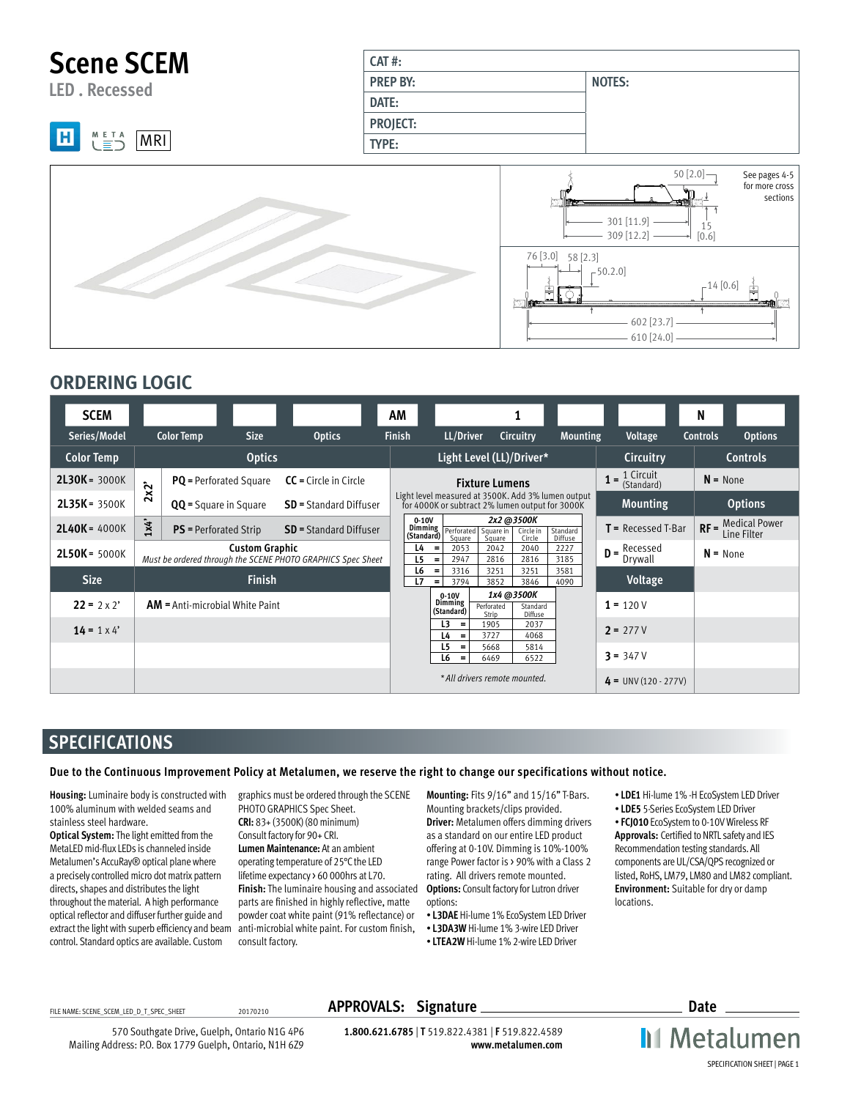

### **ORDERING LOGIC**

| <b>SCEM</b>             |                       |                                   |                       |                                                             | AM                    |                                                                |                               |                                   |                                                    |                              | N               |                                          |
|-------------------------|-----------------------|-----------------------------------|-----------------------|-------------------------------------------------------------|-----------------------|----------------------------------------------------------------|-------------------------------|-----------------------------------|----------------------------------------------------|------------------------------|-----------------|------------------------------------------|
| Series/Model            |                       | <b>Color Temp</b>                 | <b>Size</b>           | <b>Optics</b>                                               | <b>Finish</b>         | LL/Driver                                                      |                               | Circuitry                         | <b>Mounting</b>                                    | <b>Voltage</b>               | <b>Controls</b> | <b>Options</b>                           |
| <b>Color Temp</b>       |                       |                                   | <b>Optics</b>         |                                                             |                       |                                                                | Light Level (LL)/Driver*      |                                   |                                                    | <b>Circuitry</b>             |                 | <b>Controls</b>                          |
| $2L30K = 3000K$         | $\mathbf{x}^{\prime}$ | <b>PQ</b> = Perforated Square     |                       | $CC = Circle$ in Circle                                     |                       |                                                                | <b>Fixture Lumens</b>         |                                   |                                                    | $= 1$ Circuit<br>(Standard)  |                 | $N = None$                               |
| $2L35K = 3500K$         | $\ddot{\mathbf{N}}$   | <b>QQ</b> = Square in Square      |                       | <b>SD</b> = Standard Diffuser                               |                       | for 4000K or subtract 2% lumen output for 3000K                |                               |                                   | Light level measured at 3500K. Add 3% lumen output | <b>Mounting</b>              |                 | <b>Options</b>                           |
| $2$ <b>L40K</b> = 4000K | 1x4'                  | <b>PS</b> = Perforated Strip      |                       | <b>SD</b> = Standard Diffuser                               | $0-10V$<br>(Standard) | Dimming Perforated Square in<br>Square                         | Square                        | 2x2 @3500K<br>Circle in<br>Circle | Standard<br>Diffuse                                | $T =$ Recessed T-Bar         |                 | <b>RF</b> = Medical Power<br>Line Filter |
| $2L50K = 5000K$         |                       |                                   | <b>Custom Graphic</b> | Must be ordered through the SCENE PHOTO GRAPHICS Spec Sheet | L4<br>L <sub>5</sub>  | 2053<br>$\equiv$<br>2947<br>$\equiv$                           | 2042<br>2816                  | 2040<br>2816                      | 2227<br>3185                                       | Recessed<br>$D =$<br>Drywall |                 | $N = None$                               |
| <b>Size</b>             |                       |                                   | <b>Finish</b>         |                                                             | L6<br>L7              | 3316<br>$\equiv$<br>3794<br>$\equiv$                           | 3251<br>3852                  | 3251<br>3846                      | 3581<br>4090                                       | Voltage                      |                 |                                          |
| $22 = 2 \times 2'$      |                       | $AM =$ Anti-microbial White Paint |                       |                                                             |                       | $0-10V$<br><b>Dimming</b><br>(Standard)                        | Perforated<br>Strip           | 1x4 @3500K<br>Standard<br>Diffuse |                                                    | $1 = 120V$                   |                 |                                          |
| $14 = 1 \times 4'$      |                       |                                   |                       |                                                             |                       | L <sub>3</sub><br>$\qquad \qquad =$<br>L4<br>$\qquad \qquad =$ | 1905<br>3727                  | 2037<br>4068                      |                                                    | $2 = 277V$                   |                 |                                          |
|                         |                       |                                   |                       |                                                             |                       | L <sub>5</sub><br>$=$<br>L <sub>6</sub><br>$=$                 | 5668<br>6469                  | 5814<br>6522                      |                                                    | $3 = 347V$                   |                 |                                          |
|                         |                       |                                   |                       |                                                             |                       |                                                                | * All drivers remote mounted. |                                   |                                                    | $4 = UNV(120 - 277V)$        |                 |                                          |

### **SPECIFICATIONS**

**Due to the Continuous Improvement Policy at Metalumen, we reserve the right to change our specifications without notice.** 

**Housing:** Luminaire body is constructed with 100% aluminum with welded seams and stainless steel hardware.

**Optical System:** The light emitted from the MetaLED mid-flux LEDs is channeled inside Metalumen's AccuRay® optical plane where a precisely controlled micro dot matrix pattern directs, shapes and distributes the light throughout the material. A high performance optical reflector and diffuser further guide and extract the light with superb efficiency and beam control. Standard optics are available. Custom

[graphics must be ordered through the SCENE](http://www.metalumen.com/ModuleFile/SCENE_SCE_SCEM_LED_PG_SPEC_SHEET.pdf?id=10684)  PHOTO GRAPHICS Spec Sheet. **CRI:** 83+ (3500K) (80 minimum) Consult factory for 90+ CRI. **Lumen Maintenance:** At an ambient operating temperature of 25°C the LED lifetime expectancy > 60 000hrs at L70. **Finish:** The luminaire housing and associated parts are finished in highly reflective, matte powder coat white paint (91% reflectance) or anti-microbial white paint. For custom finish, consult factory.

**Mounting:** Fits 9/16" and 15/16" T-Bars. Mounting brackets/clips provided. **Driver:** Metalumen offers dimming drivers as a standard on our entire LED product offering at 0-10V. Dimming is 10%-100% range Power factor is > 90% with a Class 2 rating. All drivers remote mounted. **Options:** Consult factory for Lutron driver options:

- **L3DAE** Hi-lume 1% EcoSystem LED Driver
- **L3DA3W** Hi-lume 1% 3-wire LED Driver
- **LTEA2W** Hi-lume 1% 2-wire LED Driver
- **LDE1** Hi-lume 1% -H EcoSystem LED Driver
- **LDE5** 5-Series EcoSystem LED Driver

• **FCJ010** EcoSystem to 0-10V Wireless RF **Approvals:** Certified to NRTL safety and IES Recommendation testing standards. All components are UL/CSA/QPS recognized or listed, RoHS, LM79, LM80 and LM82 compliant. **Environment:** Suitable for dry or damp locations.

570 Southgate Drive, Guelph, Ontario N1G 4P6 Mailing Address: P.O. Box 1779 Guelph, Ontario, N1H 6Z9

FILE NAME: SCENE\_SCENE\_LED\_D\_T\_SPEC\_SHEET 20170210 **APPROVALS: Signature Date Date Date** 

**1.800.621.6785** | **T** 519.822.4381 | **F** 519.822.4589 **www.metalumen.com** **II** Metalumen SPECIFICATION SHEET | PAGE 1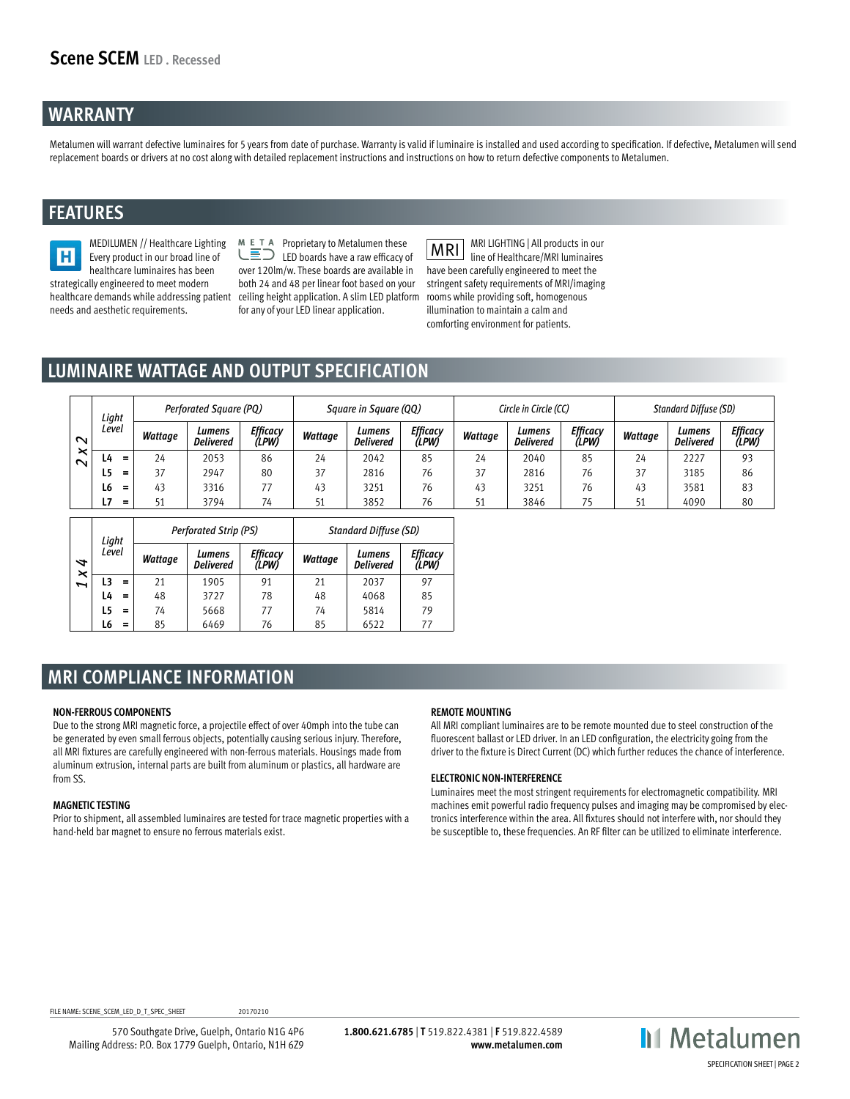### **WARRANTY**

Metalumen will warrant defective luminaires for 5 years from date of purchase. Warranty is valid if luminaire is installed and used according to specification. If defective, Metalumen will send replacement boards or drivers at no cost along with detailed replacement instructions and instructions on how to return defective components to Metalumen.

### **FEATURES**

MEDILUMEN // Healthcare Lighting H Every product in our broad line of healthcare luminaires has been strategically engineered to meet modern healthcare demands while addressing patient ceiling height application. A slim LED platform needs and aesthetic requirements.

 $M \rightharpoonup T$  Proprietary to Metalumen these LED boards have a raw efficacy of over 120lm/w. These boards are available in both 24 and 48 per linear foot based on your for any of your LED linear application.

**MRI** MRI LIGHTING | All products in our line of Healthcare/MRI luminaires have been carefully engineered to meet the stringent safety requirements of MRI/imaging rooms while providing soft, homogenous illumination to maintain a calm and comforting environment for patients.

# **LUMINAIRE WATTAGE AND OUTPUT SPECIFICATION**

|        | Light |          |         | Perforated Square (PQ)     |                   |         | Square in Square (QQ)      |                   | Circle in Circle (CC) |                            |                          | <b>Standard Diffuse (SD)</b> |                            |                   |  |
|--------|-------|----------|---------|----------------------------|-------------------|---------|----------------------------|-------------------|-----------------------|----------------------------|--------------------------|------------------------------|----------------------------|-------------------|--|
| $\sim$ | Level |          | Wattage | Lumens<br><b>Delivered</b> | Efficacy<br>(LPW) | Wattage | Lumens<br><b>Delivered</b> | Efficacy<br>(LPW) | Wattage               | Lumens<br><b>Delivered</b> | <b>Efficacy</b><br>(LPW) | Wattage                      | Lumens<br><b>Delivered</b> | Efficacy<br>(LPW) |  |
| $\sim$ | 4-،   |          | 24      | 2053                       | 86                | 24      | 2042                       | 85                | 24                    | 2040                       | 85                       | 24                           | 2227                       | 93                |  |
|        | Ŀ5.   | $=$      | 37      | 2947                       | 80                | 37      | 2816                       | 76                | 37                    | 2816                       | 76                       | 37                           | 3185                       | 86                |  |
|        | L6    | =        | 43      | 3316                       |                   | 43      | 3251                       | 76                | 43                    | 3251                       | 76                       | 43                           | 3581                       | 83                |  |
|        | 7ء    | $\equiv$ | 51      | 3794                       | 74                | 51      | 3852                       | 76                | 51                    | 3846                       | 75                       | 51                           | 4090                       | 80                |  |

|        | Light |          |         | <b>Perforated Strip (PS)</b>                    |    |         | <b>Standard Diffuse (SD)</b> |                  |
|--------|-------|----------|---------|-------------------------------------------------|----|---------|------------------------------|------------------|
| ⇆      | Level |          | Wattage | Efficacv<br>Lumens<br>(LPW)<br><b>Delivered</b> |    | Wattage | Lumens<br><b>Delivered</b>   | Efficacy<br>(LPW |
| ×<br>Z |       | $\equiv$ | 21      | 1905                                            | 91 | 21      | 2037                         | 97               |
|        | L4    | =        | 48      | 3727                                            | 78 | 48      | 4068                         | 85               |
|        | L5    | =        | 74      | 5668                                            | 77 | 74      | 5814                         | 79               |
|        | L6    | =        | 85      | 6469                                            | 76 | 85      | 6522                         |                  |

### **MRI COMPLIANCE INFORMATION**

#### **NON-FERROUS COMPONENTS**

Due to the strong MRI magnetic force, a projectile effect of over 40mph into the tube can be generated by even small ferrous objects, potentially causing serious injury. Therefore, all MRI fixtures are carefully engineered with non-ferrous materials. Housings made from aluminum extrusion, internal parts are built from aluminum or plastics, all hardware are from SS.

#### **MAGNETIC TESTING**

Prior to shipment, all assembled luminaires are tested for trace magnetic properties with a hand-held bar magnet to ensure no ferrous materials exist.

#### **REMOTE MOUNTING**

All MRI compliant luminaires are to be remote mounted due to steel construction of the fluorescent ballast or LED driver. In an LED configuration, the electricity going from the driver to the fixture is Direct Current (DC) which further reduces the chance of interference.

#### **ELECTRONIC NON-INTERFERENCE**

Luminaires meet the most stringent requirements for electromagnetic compatibility. MRI machines emit powerful radio frequency pulses and imaging may be compromised by electronics interference within the area. All fixtures should not interfere with, nor should they be susceptible to, these frequencies. An RF filter can be utilized to eliminate interference.

FILE NAME: SCENE\_SCEM\_LED\_D\_T\_SPEC\_SHEET 20170210

570 Southgate Drive, Guelph, Ontario N1G 4P6 Mailing Address: P.O. Box 1779 Guelph, Ontario, N1H 6Z9

**1.800.621.6785** | **T** 519.822.4381 | **F** 519.822.4589 **www.metalumen.com**

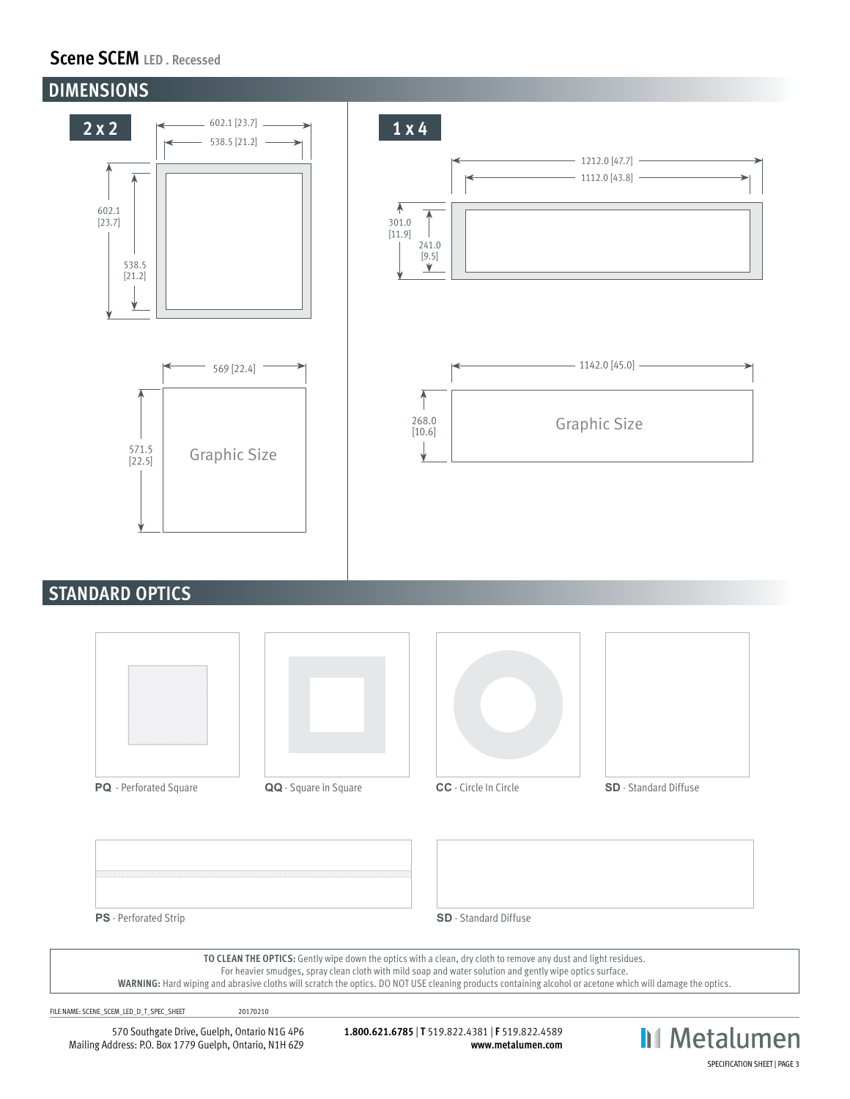### **Scene SCEM LED . Recessed**



### **STANDARD OPTICS**







**PS** - Perforated Strip **SD** - Standard Diffuse

**TO CLEAN THE OPTICS:** Gently wipe down the optics with a clean, dry cloth to remove any dust and light residues.

For heavier smudges, spray clean cloth with mild soap and water solution and gently wipe optics surface.

**WARNING:** Hard wiping and abrasive cloths will scratch the optics. DO NOT USE cleaning products containing alcohol or acetone which will damage the optics.

FILE NAME: SCENE\_SCEM\_LED\_D\_T\_SPEC\_SHEET 20170210

570 Southgate Drive, Guelph, Ontario N1G 4P6 Mailing Address: P.O. Box 1779 Guelph, Ontario, N1H 6Z9

**1.800.621.6785** | **T** 519.822.4381 | **F** 519.822.4589 **www.metalumen.com**

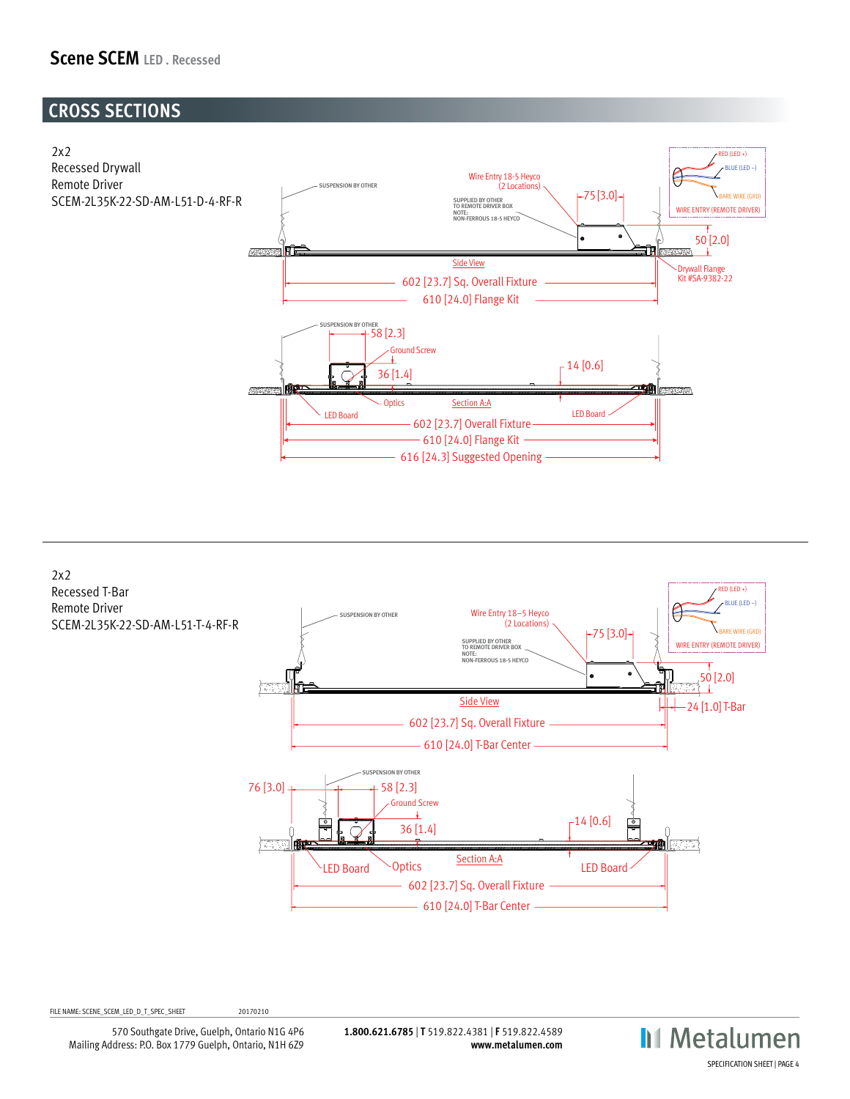### **Scene SCEM LED . Recessed**

## **CROSS SECTIONS**





FILE NAME: SCENE\_SCEM\_LED\_D\_T\_SPEC\_SHEET 20170210

570 Southgate Drive, Guelph, Ontario N1G 4P6 Mailing Address: P.O. Box 1779 Guelph, Ontario, N1H 6Z9

**1.800.621.6785** | **T** 519.822.4381 | **F** 519.822.4589 **www.metalumen.com**



2x2 SCENE LIGHT LEVEL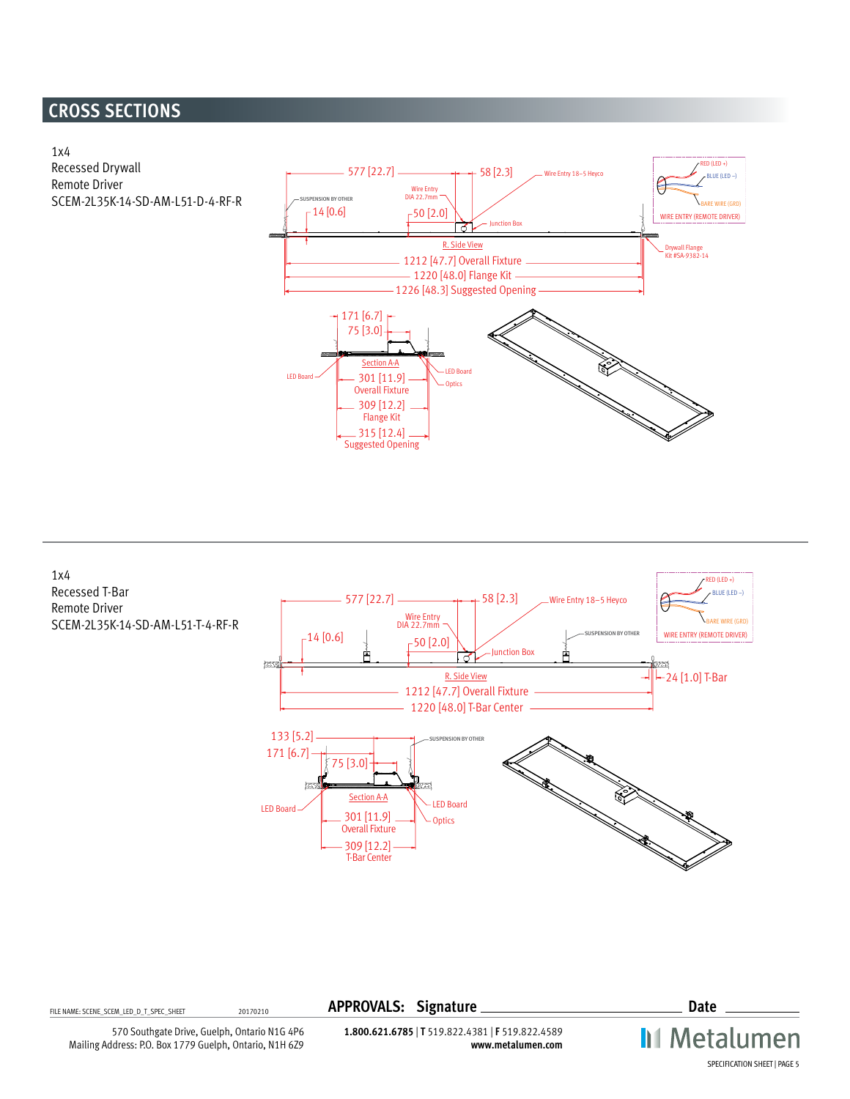## **CROSS SECTIONS**





FILE NAME: SCENE\_SCEM\_LED\_D\_T\_SPEC\_SHEET <sup>20170210</sup> **APPROVALS: Signature Date**

**II** Metalumen SPECIFICATION SHEET | PAGE 5

570 Southgate Drive, Guelph, Ontario N1G 4P6 Mailing Address: P.O. Box 1779 Guelph, Ontario, N1H 6Z9

**1.800.621.6785** | **T** 519.822.4381 | **F** 519.822.4589 **www.metalumen.com**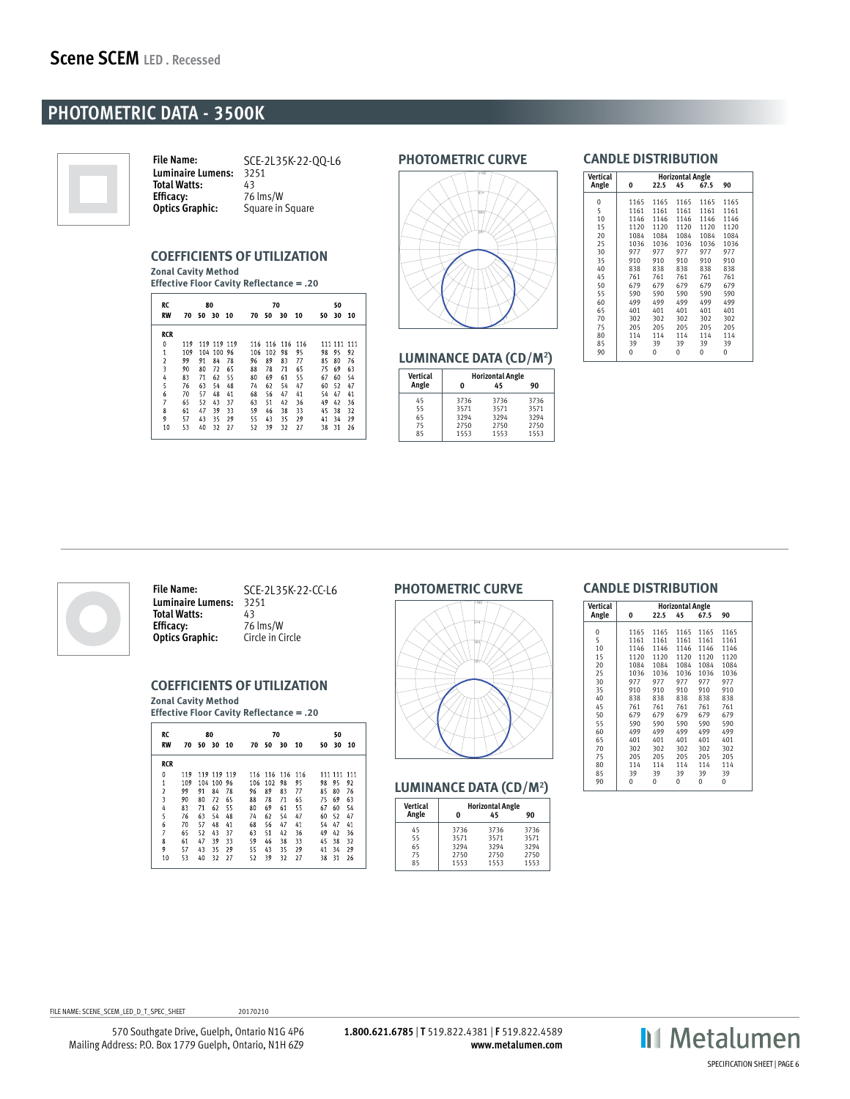### **PHOTOMETRIC DATA - 3500K**



**File Name:** SCE-2L35K-22-QQ-L6 **Luminaire Lumens:** 3251 Total Watts: 43<br> **Efficacy:** 76 **Efficacy:** 76 lms/W<br>**Optics Graphic:** Square in ! **Square in Square** 

#### **COEFFICIENTS OF UTILIZATION Zonal Cavity Method**

**Effective Floor Cavity Reflectance = .20**

| RC             |     | 80    |             |      | 70  |             |    |     | 50 |             |    |  |
|----------------|-----|-------|-------------|------|-----|-------------|----|-----|----|-------------|----|--|
| <b>RW</b>      | 70  | 50 30 |             | - 10 | 70  | 50          | 30 | 10  | 50 | 30          | 10 |  |
| <b>RCR</b>     |     |       |             |      |     |             |    |     |    |             |    |  |
| 0              | 119 |       | 119 119 119 |      |     | 116 116 116 |    | 116 |    | 111 111 111 |    |  |
| $\mathbf{1}$   | 109 | 104   | 100         | 96   | 106 | 102         | 98 | 95  | 98 | 95          | 92 |  |
| $\overline{2}$ | 99  | 91    | 84          | 78   | 96  | 89          | 83 | 77  | 85 | 80          | 76 |  |
| 3              | 90  | 80    | 72          | 65   | 88  | 78          | 71 | 65  | 75 | 69          | 63 |  |
| 4              | 83  | 71    | 62          | 55   | 80  | 69          | 61 | 55  | 67 | 60          | 54 |  |
| 5              | 76  | 63    | 54          | 48   | 74  | 62          | 54 | 47  | 60 | 52          | 47 |  |
| 6              | 70  | 57    | 48          | 41   | 68  | 56          | 47 | 41  | 54 | 47          | 41 |  |
| $\overline{7}$ | 65  | 52    | 43          | 37   | 63  | 51          | 42 | 36  | 49 | 42          | 36 |  |
| 8              | 61  | 47    | 39          | 33   | 59  | 46          | 38 | 33  | 45 | 38          | 32 |  |
| 9              | 57  | 43    | 35          | 29   | 55  | 43          | 35 | 29  | 41 | 34          | 29 |  |
| 10             | 53  | 40    | 32          | 27   | 52  | 39          | 32 | 27  | 38 | 31          | 26 |  |



**PHOTOMETRIC CURVE**

#### **LUMINANCE DATA (CD/M2 )**

| Vertical |      | <b>Horizontal Angle</b> |      |
|----------|------|-------------------------|------|
| Angle    | O    | 45                      | 90   |
| 45       | 3736 | 3736                    | 3736 |
| 55       | 3571 | 3571                    | 3571 |
| 65       | 3294 | 3294                    | 3294 |
| 75       | 2750 | 2750                    | 2750 |
| 85       | 1553 | 1553                    | 1553 |

| $\sqrt{M}$ | الملحمة المفحدحة وحالا     |
|------------|----------------------------|
|            | <b>CANDLE DISTRIBUTION</b> |

| <b>Vertical</b><br>Angle | 0    | 22.5 | <b>Horizontal Angle</b><br>45 | 67.5 | 90   |  |
|--------------------------|------|------|-------------------------------|------|------|--|
|                          |      |      |                               |      |      |  |
| 0                        | 1165 | 1165 | 1165                          | 1165 | 1165 |  |
| 5                        | 1161 | 1161 | 1161                          | 1161 | 1161 |  |
| 10                       | 1146 | 1146 | 1146                          | 1146 | 1146 |  |
| 15                       | 1120 | 1120 | 1120                          | 1120 | 1120 |  |
| 20                       | 1084 | 1084 | 1084                          | 1084 | 1084 |  |
| 25                       | 1036 | 1036 | 1036                          | 1036 | 1036 |  |
| 30                       | 977  | 977  | 977                           | 977  | 977  |  |
| 35                       | 910  | 910  | 910                           | 910  | 910  |  |
| 40                       | 838  | 838  | 838                           | 838  | 838  |  |
| 45                       | 761  | 761  | 761                           | 761  | 761  |  |
| 50                       | 679  | 679  | 679                           | 679  | 679  |  |
| 55                       | 590  | 590  | 590                           | 590  | 590  |  |
| 60                       | 499  | 499  | 499                           | 499  | 499  |  |
| 65                       | 401  | 401  | 401                           | 401  | 401  |  |
| 70                       | 302  | 302  | 302                           | 302  | 302  |  |
| 75                       | 205  | 205  | 205                           | 205  | 205  |  |
| 80                       | 114  | 114  | 114                           | 114  | 114  |  |
| 85                       | 39   | 39   | 39                            | 39   | 39   |  |
| 90                       | 0    | 0    | 0                             | 0    | 0    |  |
|                          |      |      |                               |      |      |  |



**File Name:** SCE-2L35K-22-CC-L6 **Luminaire Lumens:** 3251 **Total Watts:** 43<br>**Efficacy:** 76 lms/W **Efficacy:** 76 lms/W **Optics Graphic:** Circle in Circle

### **COEFFICIENTS OF UTILIZATION**

**Zonal Cavity Method Effective Floor Cavity Reflectance = .20**

| RC<br><b>RW</b> | 70  | 80<br>50 | 30          | 10 | 70  | 70<br>50 | 30  | 10  | 50 | 50<br>30 | 10  |
|-----------------|-----|----------|-------------|----|-----|----------|-----|-----|----|----------|-----|
| <b>RCR</b>      |     |          |             |    |     |          |     |     |    |          |     |
| 0               | 119 |          | 119 119 119 |    | 116 | 116      | 116 | 116 |    | 111 111  | 111 |
| 1               | 109 | 104      | 100         | 96 | 106 | 102      | 98  | 95  | 98 | 95       | 92  |
| $\overline{2}$  | 99  | 91       | 84          | 78 | 96  | 89       | 83  | 77  | 85 | 80       | 76  |
| 3               | 90  | 80       | 72          | 65 | 88  | 78       | 71  | 65  | 75 | 69       | 63  |
| 4               | 83  | 71       | 62          | 55 | 80  | 69       | 61  | 55  | 67 | 60       | 54  |
| 5               | 76  | 63       | 54          | 48 | 74  | 62       | 54  | 47  | 60 | 52       | 47  |
| 6               | 70  | 57       | 48          | 41 | 68  | 56       | 47  | 41  | 54 | 47       | 41  |
| 7               | 65  | 52       | 43          | 37 | 63  | 51       | 42  | 36  | 49 | 42       | 36  |
| 8               | 61  | 47       | 39          | 33 | 59  | 46       | 38  | 33  | 45 | 38       | 32  |
| 9               | 57  | 43       | 35          | 29 | 55  | 43       | 35  | 29  | 41 | 34       | 29  |
| 10              | 53  | 40       | 32          | 27 | 52  | 39       | 32  | 27  | 38 | 31       | 26  |

#### **PHOTOMETRIC CURVE**



#### **LUMINANCE DATA (CD/M2 )**

| <b>Vertical</b>            |                                      | <b>Horizontal Angle</b>              |                                      |
|----------------------------|--------------------------------------|--------------------------------------|--------------------------------------|
| Angle                      | O                                    | 45                                   | 90                                   |
| 45<br>55<br>65<br>75<br>85 | 3736<br>3571<br>3294<br>2750<br>1553 | 3736<br>3571<br>3294<br>2750<br>1553 | 3736<br>3571<br>3294<br>2750<br>1553 |

#### **CANDLE DISTRIBUTION**

| Vertical    |      |      | <b>Horizontal Angle</b> |      |      |
|-------------|------|------|-------------------------|------|------|
| Angle       | 0    | 22.5 | 45                      | 67.5 | 90   |
| $\mathbf 0$ | 1165 | 1165 | 1165                    | 1165 | 1165 |
| 5           | 1161 | 1161 | 1161                    | 1161 | 1161 |
| 10          | 1146 | 1146 | 1146                    | 1146 | 1146 |
| 15          | 1120 | 1120 | 1120                    | 1120 | 1120 |
| 20          | 1084 | 1084 | 1084                    | 1084 | 1084 |
| 25          | 1036 | 1036 | 1036                    | 1036 | 1036 |
| 30          | 977  | 977  | 977                     | 977  | 977  |
| 35          | 910  | 910  | 910                     | 910  | 910  |
| 40          | 838  | 838  | 838                     | 838  | 838  |
| 45          | 761  | 761  | 761                     | 761  | 761  |
| 50          | 679  | 679  | 679                     | 679  | 679  |
| 55          | 590  | 590  | 590                     | 590  | 590  |
| 60          | 499  | 499  | 499                     | 499  | 499  |
| 65          | 401  | 401  | 401                     | 401  | 401  |
| 70          | 302  | 302  | 302                     | 302  | 302  |
| 75          | 205  | 205  | 205                     | 205  | 205  |
| 80          | 114  | 114  | 114                     | 114  | 114  |
| 85          | 39   | 39   | 39                      | 39   | 39   |
| 90          | Ó    | 0    | Ó                       | 0    | Ó    |



FILE NAME: SCENE\_SCEM\_LED\_D\_T\_SPEC\_SHEET 20170210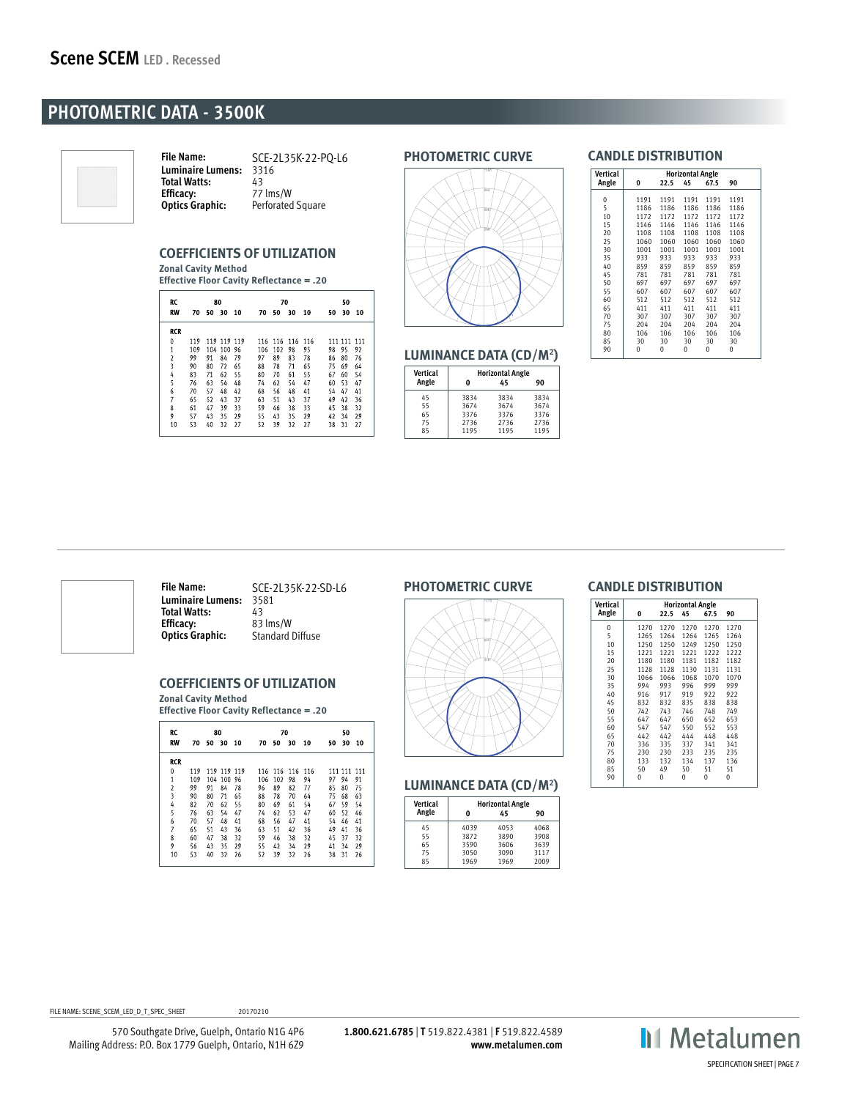### **PHOTOMETRIC DATA - 3500K**



**File Name:** SCE-2L35K-22-PQ-L6 **Luminaire Lumens:** 3316 Total Watts:<br>Efficacy: **Efficacy:** 77 lms/W<br>**Optics Graphic:** Perforated Perforated Square

#### **COEFFICIENTS OF UTILIZATION**

**Zonal Cavity Method Effective Floor Cavity Reflectance = .20**

| RC<br><b>RW</b>         | 70  | 80<br>50 | 30      | 10 | 70  | 70<br>50 | 30  | 10  | 50 | 50<br>30 | 10  |
|-------------------------|-----|----------|---------|----|-----|----------|-----|-----|----|----------|-----|
| <b>RCR</b>              |     |          |         |    |     |          |     |     |    |          |     |
| $\mathbf{0}$            | 119 | 119      | 119 119 |    | 116 | 116      | 116 | 116 |    | 111 111  | 111 |
| $\mathbf{1}$            | 109 | 104      | 100     | 96 | 106 | 102      | 98  | 95  | 98 | 95       | 92  |
| $\overline{\mathbf{c}}$ | 99  | 91       | 84      | 79 | 97  | 89       | 83  | 78  | 86 | 80       | 76  |
| 3                       | 90  | 80       | 72      | 65 | 88  | 78       | 71  | 65  | 75 | 69       | 64  |
| 4                       | 83  | 71       | 62      | 55 | 80  | 70       | 61  | 55  | 67 | 60       | 54  |
| 5                       | 76  | 63       | 54      | 48 | 74  | 62       | 54  | 47  | 60 | 53       | 47  |
| 6                       | 70  | 57       | 48      | 42 | 68  | 56       | 48  | 41  | 54 | 47       | 41  |
| 7                       | 65  | 52       | 43      | 37 | 63  | 51       | 43  | 37  | 49 | 42       | 36  |
| 8                       | 61  | 47       | 39      | 33 | 59  | 46       | 38  | 33  | 45 | 38       | 32  |
| 9                       | 57  | 43       | 35      | 29 | 55  | 43       | 35  | 29  | 42 | 34       | 29  |
| 10                      | 53  | 40       | 32      | 27 | 52  | 39       | 32  | 27  | 38 | 31       | 27  |
|                         |     |          |         |    |     |          |     |     |    |          |     |

#### **PHOTOMETRIC CURVE**



#### **LUMINANCE DATA (CD/M2 )**

| Vertical | <b>Horizontal Angle</b> |      |      |
|----------|-------------------------|------|------|
| Angle    | Λ                       | 45   | 90   |
| 45       | 3834                    | 3834 | 3834 |
| 55       | 3674                    | 3674 | 3674 |
| 65       | 3376                    | 3376 | 3376 |
| 75       | 2736                    | 2736 | 2736 |
| 85       | 1195                    | 1195 | 1195 |

### **CANDLE DISTRIBUTION**

| Vertical |      |      | <b>Horizontal Angle</b> |      |      |  |
|----------|------|------|-------------------------|------|------|--|
| Angle    | 0    | 22.5 | 45                      | 67.5 | 90   |  |
| 0        | 1191 | 1191 | 1191                    | 1191 | 1191 |  |
| 5        | 1186 | 1186 | 1186                    | 1186 | 1186 |  |
|          |      |      |                         |      |      |  |
| 10       | 1172 | 1172 | 1172                    | 1172 | 1172 |  |
| 15       | 1146 | 1146 | 1146                    | 1146 | 1146 |  |
| 20       | 1108 | 1108 | 1108                    | 1108 | 1108 |  |
| 25       | 1060 | 1060 | 1060                    | 1060 | 1060 |  |
| 30       | 1001 | 1001 | 1001                    | 1001 | 1001 |  |
| 35       | 933  | 933  | 933                     | 933  | 933  |  |
| 40       | 859  | 859  | 859                     | 859  | 859  |  |
| 45       | 781  | 781  | 781                     | 781  | 781  |  |
| 50       | 697  | 697  | 697                     | 697  | 697  |  |
| 55       | 607  | 607  | 607                     | 607  | 607  |  |
| 60       | 512  | 512  | 512                     | 512  | 512  |  |
| 65       | 411  | 411  | 411                     | 411  | 411  |  |
| 70       | 307  | 307  | 307                     | 307  | 307  |  |
| 75       | 204  | 204  | 204                     | 204  | 204  |  |
| 80       | 106  | 106  | 106                     | 106  | 106  |  |
| 85       | 30   | 30   | 30                      | 30   | 30   |  |
| 90       | 0    | 0    | 0                       | 0    | 0    |  |
|          |      |      |                         |      |      |  |



**File Name:** SCE-2L35K-22-SD-L6 **Luminaire Lumens:** 3581 **Total Watts:** 43<br>**Efficacy:** 83 lms/W **Efficacy:**<br>Optics Graphic: **Standard Diffuse** 

#### **COEFFICIENTS OF UTILIZATION**

**Zonal Cavity Method Effective Floor Cavity Reflectance = .20**

| RC<br><b>RW</b>         | 70  | 80  | 50 30 10    |    | 70  | 70<br>50 | 30      | 10 | 50 | 50<br>30 | 10  |
|-------------------------|-----|-----|-------------|----|-----|----------|---------|----|----|----------|-----|
| <b>RCR</b>              |     |     |             |    |     |          |         |    |    |          |     |
| 0                       | 119 |     | 119 119 119 |    |     | 116 116  | 116 116 |    |    | 111 111  | 111 |
| $\overline{1}$          | 109 | 104 | 100 96      |    | 106 | 102      | 98      | 94 | 97 | 94       | 91  |
| $\overline{\mathbf{c}}$ | 99  | 91  | 84          | 78 | 96  | 89       | 82      | 77 | 85 | 80       | 75  |
| $\overline{\mathbf{3}}$ | 90  | 80  | 71          | 65 | 88  | 78       | 70      | 64 | 75 | 68       | 63  |
| 4                       | 82  | 70  | 62          | 55 | 80  | 69       | 61      | 54 | 67 | 59       | 54  |
| 5                       | 76  | 63  | 54          | 47 | 74  | 62       | 53      | 47 | 60 | 52       | 46  |
| 6                       | 70  | 57  | 48          | 41 | 68  | 56       | 47      | 41 | 54 | 46       | 41  |
| $\overline{7}$          | 65  | 51  | 43          | 36 | 63  | 51       | 42      | 36 | 49 | 41       | 36  |
| 8                       | 60  | 47  | 38          | 32 | 59  | 46       | 38      | 32 | 45 | 37       | 32  |
| 9                       | 56  | 43  | 35          | 29 | 55  | 42       | 34      | 29 | 41 | 34       | 29  |
| 10                      | 53  | 40  | 32          | 26 | 52  | 39       | 32      | 26 | 38 | 31       | 26  |
|                         |     |     |             |    |     |          |         |    |    |          |     |

#### **PHOTOMETRIC CURVE**



#### **LUMINANCE DATA (CD/M2 )**

| Vertical | <b>Horizontal Angle</b> |      |      |  |  |  |  |  |
|----------|-------------------------|------|------|--|--|--|--|--|
| Angle    | O                       | 45   | 90   |  |  |  |  |  |
| 45       | 4039                    | 4053 | 4068 |  |  |  |  |  |
| 55       | 3872                    | 3890 | 3908 |  |  |  |  |  |
| 65       | 3590                    | 3606 | 3639 |  |  |  |  |  |
| 75       | 3050                    | 3090 | 3117 |  |  |  |  |  |
| 85       | 1969                    | 1969 | 2009 |  |  |  |  |  |

#### **CANDLE DISTRIBUTION**

| <b>Vertical</b> | <b>Horizontal Angle</b> |      |      |      |      |  |  |  |
|-----------------|-------------------------|------|------|------|------|--|--|--|
| Angle           | 0                       | 22.5 | 45   | 67.5 | 90   |  |  |  |
| 0               | 1270                    | 1270 | 1270 | 1270 | 1270 |  |  |  |
| 5               | 1265                    | 1264 | 1264 | 1265 | 1264 |  |  |  |
| 10              | 1250                    | 1250 | 1249 | 1250 | 1250 |  |  |  |
| 15              | 1221                    | 1221 | 1221 | 1222 | 1222 |  |  |  |
| 20              | 1180                    | 1180 | 1181 | 1182 | 1182 |  |  |  |
| 25              | 1128                    | 1128 | 1130 | 1131 | 1131 |  |  |  |
| 30              | 1066                    | 1066 | 1068 | 1070 | 1070 |  |  |  |
| 35              | 994                     | 993  | 996  | 999  | 999  |  |  |  |
| 40              | 916                     | 917  | 919  | 922  | 922  |  |  |  |
| 45              | 832                     | 832  | 835  | 838  | 838  |  |  |  |
| 50              | 742                     | 743  | 746  | 748  | 749  |  |  |  |
| 55              | 647                     | 647  | 650  | 652  | 653  |  |  |  |
| 60              | 547                     | 547  | 550  | 552  | 553  |  |  |  |
| 65              | 442                     | 442  | 444  | 448  | 448  |  |  |  |
| 70              | 336                     | 335  | 337  | 341  | 341  |  |  |  |
| 75              | 230                     | 230  | 233  | 235  | 235  |  |  |  |
| 80              | 133                     | 132  | 134  | 137  | 136  |  |  |  |
| 85              | 50                      | 49   | 50   | 51   | 51   |  |  |  |
| 90              | 0                       | 0    | 0    | 0    | 0    |  |  |  |

FILE NAME: SCENE\_SCEM\_LED\_D\_T\_SPEC\_SHEET 20170210

570 Southgate Drive, Guelph, Ontario N1G 4P6 Mailing Address: P.O. Box 1779 Guelph, Ontario, N1H 6Z9